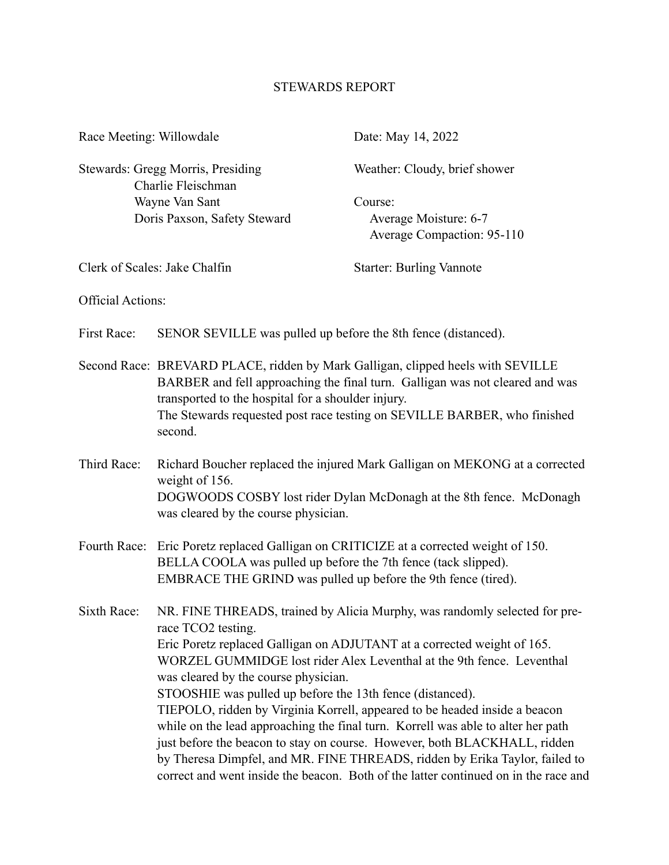## STEWARDS REPORT

| Race Meeting: Willowdale                                                                                  |                                                                                                                                                                                                                                                                                                                                                                                                                                                                                                                                                                                                                                                                                                                                                                                | Date: May 14, 2022                                                    |
|-----------------------------------------------------------------------------------------------------------|--------------------------------------------------------------------------------------------------------------------------------------------------------------------------------------------------------------------------------------------------------------------------------------------------------------------------------------------------------------------------------------------------------------------------------------------------------------------------------------------------------------------------------------------------------------------------------------------------------------------------------------------------------------------------------------------------------------------------------------------------------------------------------|-----------------------------------------------------------------------|
| Stewards: Gregg Morris, Presiding<br>Charlie Fleischman<br>Wayne Van Sant<br>Doris Paxson, Safety Steward |                                                                                                                                                                                                                                                                                                                                                                                                                                                                                                                                                                                                                                                                                                                                                                                | Weather: Cloudy, brief shower                                         |
|                                                                                                           |                                                                                                                                                                                                                                                                                                                                                                                                                                                                                                                                                                                                                                                                                                                                                                                | Course:<br>Average Moisture: 6-7<br><b>Average Compaction: 95-110</b> |
| Clerk of Scales: Jake Chalfin                                                                             |                                                                                                                                                                                                                                                                                                                                                                                                                                                                                                                                                                                                                                                                                                                                                                                | <b>Starter: Burling Vannote</b>                                       |
| <b>Official Actions:</b>                                                                                  |                                                                                                                                                                                                                                                                                                                                                                                                                                                                                                                                                                                                                                                                                                                                                                                |                                                                       |
| First Race:                                                                                               | SENOR SEVILLE was pulled up before the 8th fence (distanced).                                                                                                                                                                                                                                                                                                                                                                                                                                                                                                                                                                                                                                                                                                                  |                                                                       |
|                                                                                                           | Second Race: BREVARD PLACE, ridden by Mark Galligan, clipped heels with SEVILLE<br>BARBER and fell approaching the final turn. Galligan was not cleared and was<br>transported to the hospital for a shoulder injury.<br>The Stewards requested post race testing on SEVILLE BARBER, who finished<br>second.                                                                                                                                                                                                                                                                                                                                                                                                                                                                   |                                                                       |
| Third Race:                                                                                               | Richard Boucher replaced the injured Mark Galligan on MEKONG at a corrected<br>weight of 156.<br>DOGWOODS COSBY lost rider Dylan McDonagh at the 8th fence. McDonagh<br>was cleared by the course physician.                                                                                                                                                                                                                                                                                                                                                                                                                                                                                                                                                                   |                                                                       |
|                                                                                                           | Fourth Race: Eric Poretz replaced Galligan on CRITICIZE at a corrected weight of 150.<br>BELLA COOLA was pulled up before the 7th fence (tack slipped).<br>EMBRACE THE GRIND was pulled up before the 9th fence (tired).                                                                                                                                                                                                                                                                                                                                                                                                                                                                                                                                                       |                                                                       |
| Sixth Race:                                                                                               | NR. FINE THREADS, trained by Alicia Murphy, was randomly selected for pre-<br>race TCO2 testing.<br>Eric Poretz replaced Galligan on ADJUTANT at a corrected weight of 165.<br>WORZEL GUMMIDGE lost rider Alex Leventhal at the 9th fence. Leventhal<br>was cleared by the course physician.<br>STOOSHIE was pulled up before the 13th fence (distanced).<br>TIEPOLO, ridden by Virginia Korrell, appeared to be headed inside a beacon<br>while on the lead approaching the final turn. Korrell was able to alter her path<br>just before the beacon to stay on course. However, both BLACKHALL, ridden<br>by Theresa Dimpfel, and MR. FINE THREADS, ridden by Erika Taylor, failed to<br>correct and went inside the beacon. Both of the latter continued on in the race and |                                                                       |